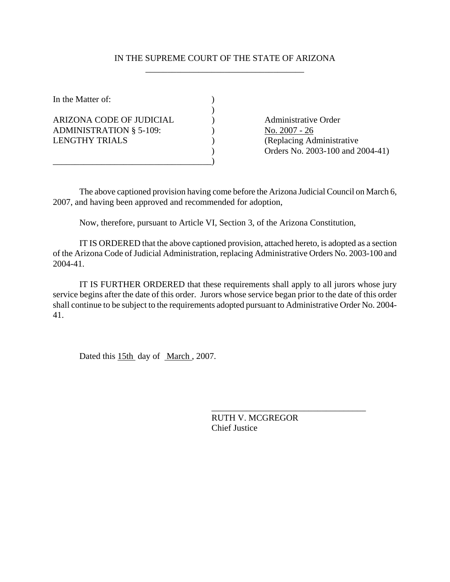## IN THE SUPREME COURT OF THE STATE OF ARIZONA \_\_\_\_\_\_\_\_\_\_\_\_\_\_\_\_\_\_\_\_\_\_\_\_\_\_\_\_\_\_\_\_\_\_\_\_

| In the Matter of:                                          |  |
|------------------------------------------------------------|--|
| ARIZONA CODE OF JUDICIAL<br><b>ADMINISTRATION § 5-109:</b> |  |
| LENGTHY TRIALS                                             |  |
|                                                            |  |

Administrative Order No. 2007 - 26 (Replacing Administrative ) Orders No. 2003-100 and 2004-41)

The above captioned provision having come before the Arizona Judicial Council on March 6, 2007, and having been approved and recommended for adoption,

Now, therefore, pursuant to Article VI, Section 3, of the Arizona Constitution,

IT IS ORDERED that the above captioned provision, attached hereto, is adopted as a section of the Arizona Code of Judicial Administration, replacing Administrative Orders No. 2003-100 and 2004-41.

IT IS FURTHER ORDERED that these requirements shall apply to all jurors whose jury service begins after the date of this order. Jurors whose service began prior to the date of this order shall continue to be subject to the requirements adopted pursuant to Administrative Order No. 2004- 41.

Dated this 15th day of March, 2007.

RUTH V. MCGREGOR Chief Justice

\_\_\_\_\_\_\_\_\_\_\_\_\_\_\_\_\_\_\_\_\_\_\_\_\_\_\_\_\_\_\_\_\_\_\_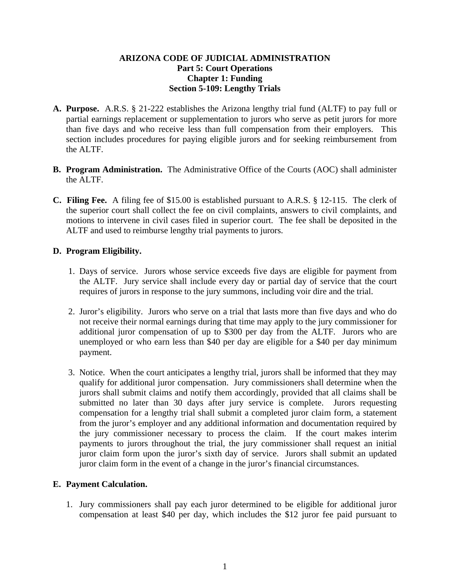# **ARIZONA CODE OF JUDICIAL ADMINISTRATION Part 5: Court Operations Chapter 1: Funding Section 5-109: Lengthy Trials**

- **A. Purpose.** A.R.S. § 21-222 establishes the Arizona lengthy trial fund (ALTF) to pay full or partial earnings replacement or supplementation to jurors who serve as petit jurors for more than five days and who receive less than full compensation from their employers. This section includes procedures for paying eligible jurors and for seeking reimbursement from the ALTF.
- **B. Program Administration.** The Administrative Office of the Courts (AOC) shall administer the ALTF.
- **C. Filing Fee.** A filing fee of \$15.00 is established pursuant to A.R.S. § 12-115. The clerk of the superior court shall collect the fee on civil complaints, answers to civil complaints, and motions to intervene in civil cases filed in superior court. The fee shall be deposited in the ALTF and used to reimburse lengthy trial payments to jurors.

# **D. Program Eligibility.**

- 1. Days of service. Jurors whose service exceeds five days are eligible for payment from the ALTF. Jury service shall include every day or partial day of service that the court requires of jurors in response to the jury summons, including voir dire and the trial.
- 2. Juror's eligibility. Jurors who serve on a trial that lasts more than five days and who do not receive their normal earnings during that time may apply to the jury commissioner for additional juror compensation of up to \$300 per day from the ALTF. Jurors who are unemployed or who earn less than \$40 per day are eligible for a \$40 per day minimum payment.
- 3. Notice. When the court anticipates a lengthy trial, jurors shall be informed that they may qualify for additional juror compensation. Jury commissioners shall determine when the jurors shall submit claims and notify them accordingly, provided that all claims shall be submitted no later than 30 days after jury service is complete. Jurors requesting compensation for a lengthy trial shall submit a completed juror claim form, a statement from the juror's employer and any additional information and documentation required by the jury commissioner necessary to process the claim. If the court makes interim payments to jurors throughout the trial, the jury commissioner shall request an initial juror claim form upon the juror's sixth day of service. Jurors shall submit an updated juror claim form in the event of a change in the juror's financial circumstances.

### **E. Payment Calculation.**

1. Jury commissioners shall pay each juror determined to be eligible for additional juror compensation at least \$40 per day, which includes the \$12 juror fee paid pursuant to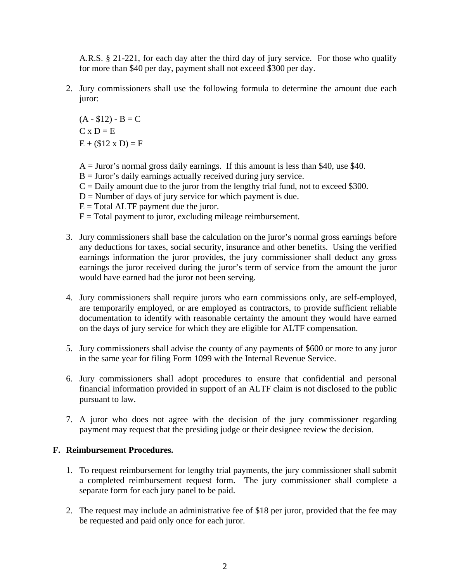A.R.S. § 21-221, for each day after the third day of jury service. For those who qualify for more than \$40 per day, payment shall not exceed \$300 per day.

2. Jury commissioners shall use the following formula to determine the amount due each juror:

 $(A - $12) - B = C$  $C \times D = E$  $E + (12 \times D) = F$ 

- $A =$  Juror's normal gross daily earnings. If this amount is less than \$40, use \$40.
- $B =$  Juror's daily earnings actually received during jury service.
- $C =$  Daily amount due to the juror from the lengthy trial fund, not to exceed \$300.
- $D =$  Number of days of jury service for which payment is due.
- $E = Total$  ALTF payment due the juror.
- $F = Total$  payment to juror, excluding mileage reimbursement.
- 3. Jury commissioners shall base the calculation on the juror's normal gross earnings before any deductions for taxes, social security, insurance and other benefits. Using the verified earnings information the juror provides, the jury commissioner shall deduct any gross earnings the juror received during the juror's term of service from the amount the juror would have earned had the juror not been serving.
- 4. Jury commissioners shall require jurors who earn commissions only, are self-employed, are temporarily employed, or are employed as contractors, to provide sufficient reliable documentation to identify with reasonable certainty the amount they would have earned on the days of jury service for which they are eligible for ALTF compensation.
- 5. Jury commissioners shall advise the county of any payments of \$600 or more to any juror in the same year for filing Form 1099 with the Internal Revenue Service.
- 6. Jury commissioners shall adopt procedures to ensure that confidential and personal financial information provided in support of an ALTF claim is not disclosed to the public pursuant to law.
- 7. A juror who does not agree with the decision of the jury commissioner regarding payment may request that the presiding judge or their designee review the decision.

### **F. Reimbursement Procedures.**

- 1. To request reimbursement for lengthy trial payments, the jury commissioner shall submit a completed reimbursement request form. The jury commissioner shall complete a separate form for each jury panel to be paid.
- 2. The request may include an administrative fee of \$18 per juror, provided that the fee may be requested and paid only once for each juror.